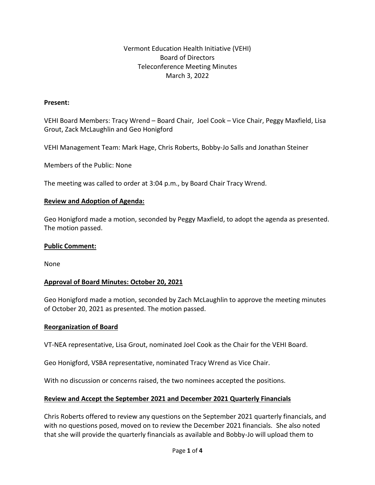## Vermont Education Health Initiative (VEHI) Board of Directors Teleconference Meeting Minutes March 3, 2022

#### **Present:**

VEHI Board Members: Tracy Wrend – Board Chair, Joel Cook – Vice Chair, Peggy Maxfield, Lisa Grout, Zack McLaughlin and Geo Honigford

VEHI Management Team: Mark Hage, Chris Roberts, Bobby-Jo Salls and Jonathan Steiner

Members of the Public: None

The meeting was called to order at 3:04 p.m., by Board Chair Tracy Wrend.

#### **Review and Adoption of Agenda:**

Geo Honigford made a motion, seconded by Peggy Maxfield, to adopt the agenda as presented. The motion passed.

#### **Public Comment:**

None

#### **Approval of Board Minutes: October 20, 2021**

Geo Honigford made a motion, seconded by Zach McLaughlin to approve the meeting minutes of October 20, 2021 as presented. The motion passed.

#### **Reorganization of Board**

VT-NEA representative, Lisa Grout, nominated Joel Cook as the Chair for the VEHI Board.

Geo Honigford, VSBA representative, nominated Tracy Wrend as Vice Chair.

With no discussion or concerns raised, the two nominees accepted the positions.

#### **Review and Accept the September 2021 and December 2021 Quarterly Financials**

Chris Roberts offered to review any questions on the September 2021 quarterly financials, and with no questions posed, moved on to review the December 2021 financials. She also noted that she will provide the quarterly financials as available and Bobby-Jo will upload them to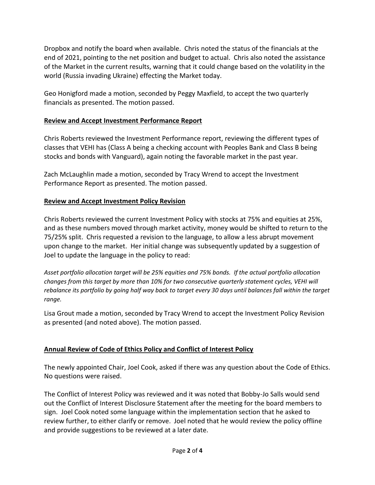Dropbox and notify the board when available. Chris noted the status of the financials at the end of 2021, pointing to the net position and budget to actual. Chris also noted the assistance of the Market in the current results, warning that it could change based on the volatility in the world (Russia invading Ukraine) effecting the Market today.

Geo Honigford made a motion, seconded by Peggy Maxfield, to accept the two quarterly financials as presented. The motion passed.

## **Review and Accept Investment Performance Report**

Chris Roberts reviewed the Investment Performance report, reviewing the different types of classes that VEHI has (Class A being a checking account with Peoples Bank and Class B being stocks and bonds with Vanguard), again noting the favorable market in the past year.

Zach McLaughlin made a motion, seconded by Tracy Wrend to accept the Investment Performance Report as presented. The motion passed.

# **Review and Accept Investment Policy Revision**

Chris Roberts reviewed the current Investment Policy with stocks at 75% and equities at 25%, and as these numbers moved through market activity, money would be shifted to return to the 75/25% split. Chris requested a revision to the language, to allow a less abrupt movement upon change to the market. Her initial change was subsequently updated by a suggestion of Joel to update the language in the policy to read:

*Asset portfolio allocation target will be 25% equities and 75% bonds. If the actual portfolio allocation changes from this target by more than 10% for two consecutive quarterly statement cycles, VEHI will rebalance its portfolio by going half way back to target every 30 days until balances fall within the target range.*

Lisa Grout made a motion, seconded by Tracy Wrend to accept the Investment Policy Revision as presented (and noted above). The motion passed.

### **Annual Review of Code of Ethics Policy and Conflict of Interest Policy**

The newly appointed Chair, Joel Cook, asked if there was any question about the Code of Ethics. No questions were raised.

The Conflict of Interest Policy was reviewed and it was noted that Bobby-Jo Salls would send out the Conflict of Interest Disclosure Statement after the meeting for the board members to sign. Joel Cook noted some language within the implementation section that he asked to review further, to either clarify or remove. Joel noted that he would review the policy offline and provide suggestions to be reviewed at a later date.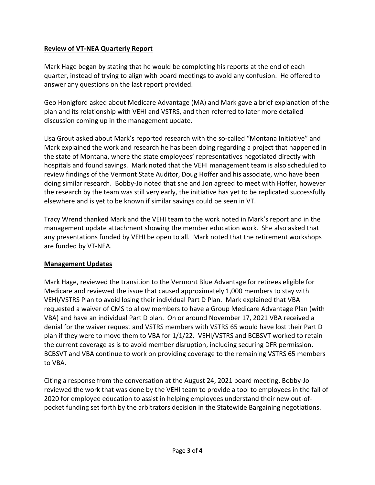# **Review of VT-NEA Quarterly Report**

Mark Hage began by stating that he would be completing his reports at the end of each quarter, instead of trying to align with board meetings to avoid any confusion. He offered to answer any questions on the last report provided.

Geo Honigford asked about Medicare Advantage (MA) and Mark gave a brief explanation of the plan and its relationship with VEHI and VSTRS, and then referred to later more detailed discussion coming up in the management update.

Lisa Grout asked about Mark's reported research with the so-called "Montana Initiative" and Mark explained the work and research he has been doing regarding a project that happened in the state of Montana, where the state employees' representatives negotiated directly with hospitals and found savings. Mark noted that the VEHI management team is also scheduled to review findings of the Vermont State Auditor, Doug Hoffer and his associate, who have been doing similar research. Bobby-Jo noted that she and Jon agreed to meet with Hoffer, however the research by the team was still very early, the initiative has yet to be replicated successfully elsewhere and is yet to be known if similar savings could be seen in VT.

Tracy Wrend thanked Mark and the VEHI team to the work noted in Mark's report and in the management update attachment showing the member education work. She also asked that any presentations funded by VEHI be open to all. Mark noted that the retirement workshops are funded by VT-NEA.

### **Management Updates**

Mark Hage, reviewed the transition to the Vermont Blue Advantage for retirees eligible for Medicare and reviewed the issue that caused approximately 1,000 members to stay with VEHI/VSTRS Plan to avoid losing their individual Part D Plan. Mark explained that VBA requested a waiver of CMS to allow members to have a Group Medicare Advantage Plan (with VBA) and have an individual Part D plan. On or around November 17, 2021 VBA received a denial for the waiver request and VSTRS members with VSTRS 65 would have lost their Part D plan if they were to move them to VBA for 1/1/22. VEHI/VSTRS and BCBSVT worked to retain the current coverage as is to avoid member disruption, including securing DFR permission. BCBSVT and VBA continue to work on providing coverage to the remaining VSTRS 65 members to VBA.

Citing a response from the conversation at the August 24, 2021 board meeting, Bobby-Jo reviewed the work that was done by the VEHI team to provide a tool to employees in the fall of 2020 for employee education to assist in helping employees understand their new out-ofpocket funding set forth by the arbitrators decision in the Statewide Bargaining negotiations.